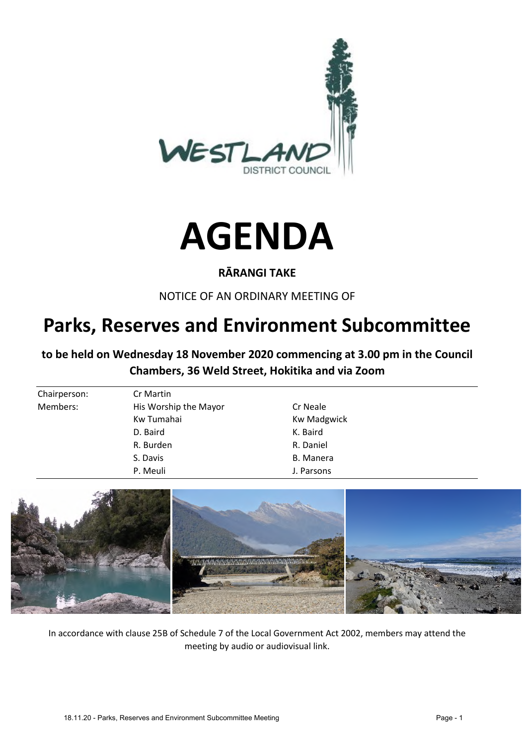



### **RĀRANGI TAKE**

NOTICE OF AN ORDINARY MEETING OF

# **Parks, Reserves and Environment Subcommittee**

**to be held on Wednesday 18 November 2020 commencing at 3.00 pm in the Council Chambers, 36 Weld Street, Hokitika and via Zoom** 

| Chairperson: | Cr Martin             |                    |
|--------------|-----------------------|--------------------|
| Members:     | His Worship the Mayor | Cr Neale           |
|              | Kw Tumahai            | <b>Kw Madgwick</b> |
|              | D. Baird              | K. Baird           |
|              | R. Burden             | R. Daniel          |
|              | S. Davis              | B. Manera          |
|              | P. Meuli              | J. Parsons         |



In accordance with clause 25B of Schedule 7 of the Local Government Act 2002, members may attend the meeting by audio or audiovisual link.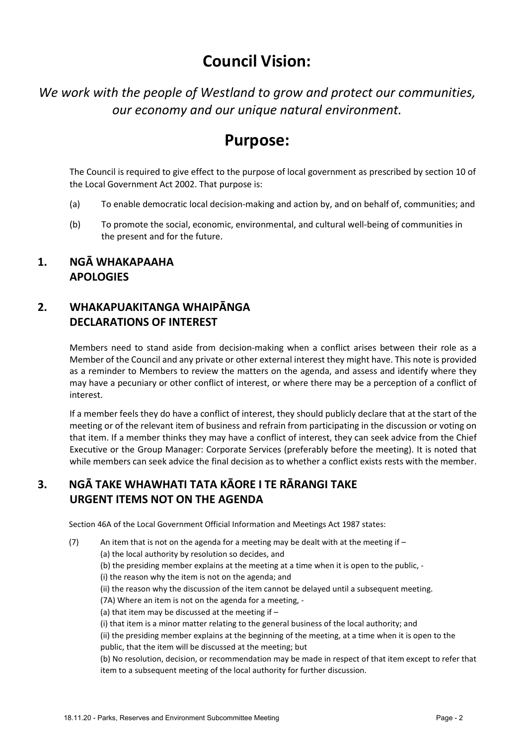## **Council Vision:**

*We work with the people of Westland to grow and protect our communities, our economy and our unique natural environment.* 

## **Purpose:**

The Council is required to give effect to the purpose of local government as prescribed by section 10 of the Local Government Act 2002. That purpose is:

- (a) To enable democratic local decision-making and action by, and on behalf of, communities; and
- (b) To promote the social, economic, environmental, and cultural well-being of communities in the present and for the future.

#### **1. NGĀ WHAKAPAAHA APOLOGIES**

#### **2. WHAKAPUAKITANGA WHAIPĀNGA DECLARATIONS OF INTEREST**

Members need to stand aside from decision-making when a conflict arises between their role as a Member of the Council and any private or other external interest they might have. This note is provided as a reminder to Members to review the matters on the agenda, and assess and identify where they may have a pecuniary or other conflict of interest, or where there may be a perception of a conflict of interest.

If a member feels they do have a conflict of interest, they should publicly declare that at the start of the meeting or of the relevant item of business and refrain from participating in the discussion or voting on that item. If a member thinks they may have a conflict of interest, they can seek advice from the Chief Executive or the Group Manager: Corporate Services (preferably before the meeting). It is noted that while members can seek advice the final decision as to whether a conflict exists rests with the member.

### **3. NGĀ TAKE WHAWHATI TATA KĀORE I TE RĀRANGI TAKE URGENT ITEMS NOT ON THE AGENDA**

Section 46A of the Local Government Official Information and Meetings Act 1987 states:

- (7) An item that is not on the agenda for a meeting may be dealt with at the meeting if  $-$ (a) the local authority by resolution so decides, and
	- (b) the presiding member explains at the meeting at a time when it is open to the public, -
	- (i) the reason why the item is not on the agenda; and
	- (ii) the reason why the discussion of the item cannot be delayed until a subsequent meeting.
	- (7A) Where an item is not on the agenda for a meeting, -
	- (a) that item may be discussed at the meeting if –
	- (i) that item is a minor matter relating to the general business of the local authority; and

(ii) the presiding member explains at the beginning of the meeting, at a time when it is open to the public, that the item will be discussed at the meeting; but

(b) No resolution, decision, or recommendation may be made in respect of that item except to refer that item to a subsequent meeting of the local authority for further discussion.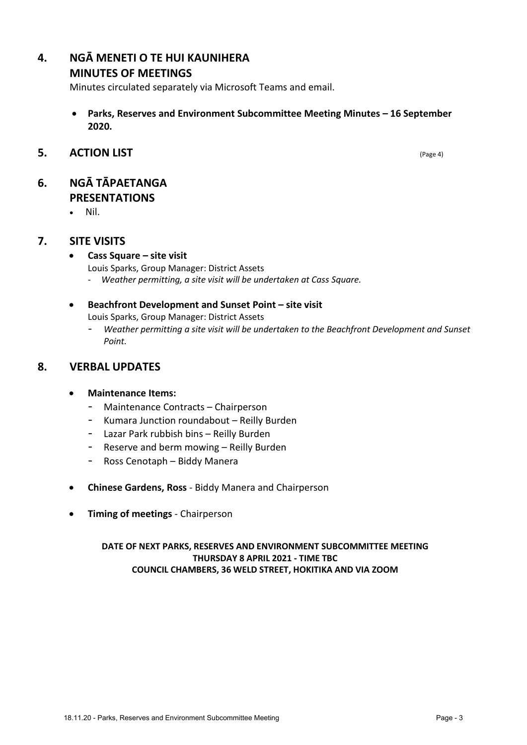## **4. NGĀ MENETI O TE HUI KAUNIHERA**

### **MINUTES OF MEETINGS**

Minutes circulated separately via Microsoft Teams and email.

 **Parks, Reserves and Environment Subcommittee Meeting Minutes – 16 September 2020.** 

## **5. ACTION LIST** (Page 4)

#### **6. NGĀ TĀPAETANGA PRESENTATIONS**

Nil.

## **7. SITE VISITS**

#### **Cass Square – site visit**

Louis Sparks, Group Manager: District Assets

- *Weather permitting, a site visit will be undertaken at Cass Square.* 

### **Beachfront Development and Sunset Point – site visit**  Louis Sparks, Group Manager: District Assets

- *Weather permitting a site visit will be undertaken to the Beachfront Development and Sunset Point.* 

## **8. VERBAL UPDATES**

#### **Maintenance Items:**

- Maintenance Contracts Chairperson
- Kumara Junction roundabout Reilly Burden
- Lazar Park rubbish bins Reilly Burden
- Reserve and berm mowing Reilly Burden
- Ross Cenotaph Biddy Manera
- **Chinese Gardens, Ross**  Biddy Manera and Chairperson
- **Timing of meetings**  Chairperson

#### **DATE OF NEXT PARKS, RESERVES AND ENVIRONMENT SUBCOMMITTEE MEETING THURSDAY 8 APRIL 2021 - TIME TBC COUNCIL CHAMBERS, 36 WELD STREET, HOKITIKA AND VIA ZOOM**